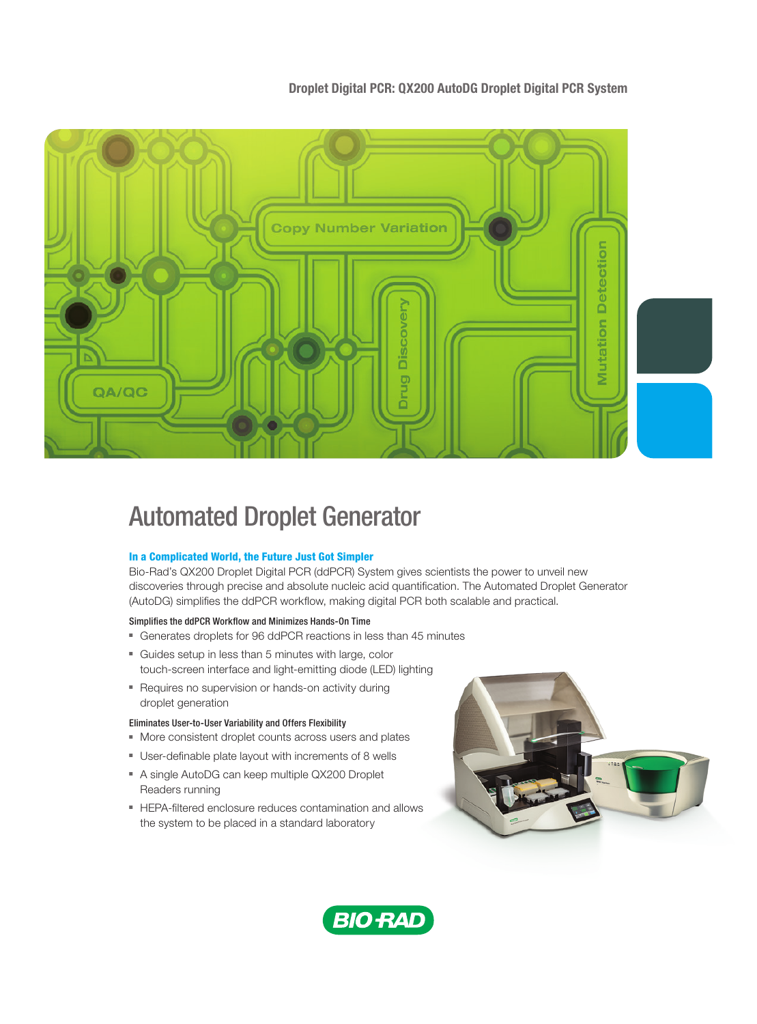## Droplet Digital PCR: QX200 AutoDG Droplet Digital PCR System



# Automated Droplet Generator

## In a Complicated World, the Future Just Got Simpler

Bio-Rad's QX200 Droplet Digital PCR (ddPCR) System gives scientists the power to unveil new discoveries through precise and absolute nucleic acid quantification. The Automated Droplet Generator (AutoDG) simplifies the ddPCR workflow, making digital PCR both scalable and practical.

## Simplifies the ddPCR Workflow and Minimizes Hands-On Time

- Generates droplets for 96 ddPCR reactions in less than 45 minutes
- Guides setup in less than 5 minutes with large, color touch-screen interface and light-emitting diode (LED) lighting
- Requires no supervision or hands-on activity during droplet generation

## Eliminates User-to-User Variability and Offers Flexibility

- More consistent droplet counts across users and plates
- User-definable plate layout with increments of 8 wells
- A single AutoDG can keep multiple QX200 Droplet Readers running
- HEPA-filtered enclosure reduces contamination and allows the system to be placed in a standard laboratory